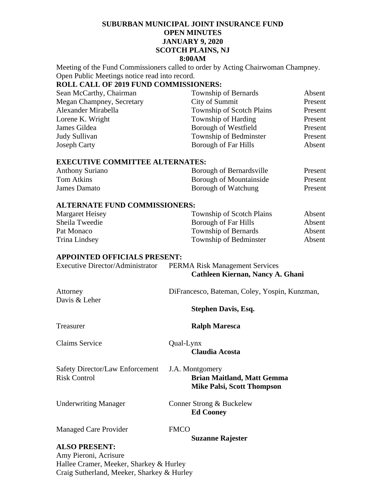# **SUBURBAN MUNICIPAL JOINT INSURANCE FUND OPEN MINUTES JANUARY 9, 2020 SCOTCH PLAINS, NJ 8:00AM**

Meeting of the Fund Commissioners called to order by Acting Chairwoman Champney. Open Public Meetings notice read into record.

# **ROLL CALL OF 2019 FUND COMMISSIONERS:**

| Sean McCarthy, Chairman   | Township of Bernards             | Absent  |
|---------------------------|----------------------------------|---------|
| Megan Champney, Secretary | City of Summit                   | Present |
| Alexander Mirabella       | <b>Township of Scotch Plains</b> | Present |
| Lorene K. Wright          | Township of Harding              | Present |
| James Gildea              | Borough of Westfield             | Present |
| Judy Sullivan             | Township of Bedminster           | Present |
| <b>Joseph Carty</b>       | Borough of Far Hills             | Absent  |

## **EXECUTIVE COMMITTEE ALTERNATES:**

| <b>Anthony Suriano</b> | Borough of Bernardsville       | Present |
|------------------------|--------------------------------|---------|
| Tom Atkins             | <b>Borough of Mountainside</b> | Present |
| James Damato           | Borough of Watchung            | Present |

## **ALTERNATE FUND COMMISSIONERS:**

| Margaret Heisey | Township of Scotch Plains | Absent |
|-----------------|---------------------------|--------|
| Sheila Tweedie  | Borough of Far Hills      | Absent |
| Pat Monaco      | Township of Bernards      | Absent |
| Trina Lindsey   | Township of Bedminster    | Absent |

#### **APPOINTED OFFICIALS PRESENT:**

| Executive Director/Administrator | <b>PERMA Risk Management Services</b> |
|----------------------------------|---------------------------------------|
|                                  | Cathleen Kiernan, Nancy A. Ghani      |

| Attorney<br>Davis & Leher                              | DiFrancesco, Bateman, Coley, Yospin, Kunzman,                                             |  |
|--------------------------------------------------------|-------------------------------------------------------------------------------------------|--|
|                                                        | <b>Stephen Davis, Esq.</b>                                                                |  |
| Treasurer                                              | <b>Ralph Maresca</b>                                                                      |  |
| <b>Claims Service</b>                                  | Qual-Lynx<br><b>Claudia Acosta</b>                                                        |  |
| Safety Director/Law Enforcement<br><b>Risk Control</b> | J.A. Montgomery<br><b>Brian Maitland, Matt Gemma</b><br><b>Mike Palsi, Scott Thompson</b> |  |

Underwriting Manager Conner Strong & Buckelew

**Ed Cooney** 

Managed Care Provider FMCO

**Suzanne Rajester** 

# **ALSO PRESENT:**

Amy Pieroni, Acrisure Hallee Cramer, Meeker, Sharkey & Hurley Craig Sutherland, Meeker, Sharkey & Hurley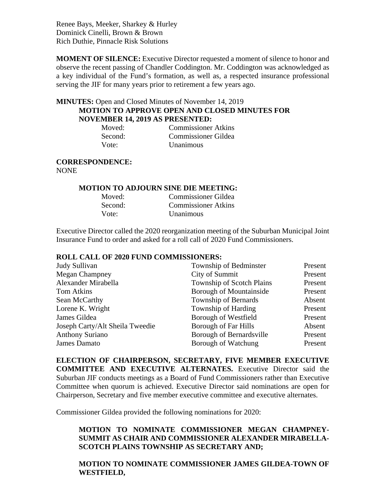Renee Bays, Meeker, Sharkey & Hurley Dominick Cinelli, Brown & Brown Rich Duthie, Pinnacle Risk Solutions

**MOMENT OF SILENCE:** Executive Director requested a moment of silence to honor and observe the recent passing of Chandler Coddington. Mr. Coddington was acknowledged as a key individual of the Fund's formation, as well as, a respected insurance professional serving the JIF for many years prior to retirement a few years ago.

# **MINUTES:** Open and Closed Minutes of November 14, 2019 **MOTION TO APPROVE OPEN AND CLOSED MINUTES FOR NOVEMBER 14, 2019 AS PRESENTED:**

| Moved:  | <b>Commissioner Atkins</b> |
|---------|----------------------------|
| Second: | <b>Commissioner Gildea</b> |
| Vote:   | <i>Unanimous</i>           |

# **CORRESPONDENCE:**

NONE

## **MOTION TO ADJOURN SINE DIE MEETING:**

| Moved:  | Commissioner Gildea        |
|---------|----------------------------|
| Second: | <b>Commissioner Atkins</b> |
| Vote:   | <i>Unanimous</i>           |

Executive Director called the 2020 reorganization meeting of the Suburban Municipal Joint Insurance Fund to order and asked for a roll call of 2020 Fund Commissioners.

## **ROLL CALL OF 2020 FUND COMMISSIONERS:**

| Judy Sullivan                   | Township of Bedminster           | Present |
|---------------------------------|----------------------------------|---------|
| <b>Megan Champney</b>           | City of Summit                   | Present |
| Alexander Mirabella             | <b>Township of Scotch Plains</b> | Present |
| <b>Tom Atkins</b>               | Borough of Mountainside          | Present |
| Sean McCarthy                   | <b>Township of Bernards</b>      | Absent  |
| Lorene K. Wright                | Township of Harding              | Present |
| James Gildea                    | Borough of Westfield             | Present |
| Joseph Carty/Alt Sheila Tweedie | <b>Borough of Far Hills</b>      | Absent  |
| <b>Anthony Suriano</b>          | Borough of Bernardsville         | Present |
| James Damato                    | Borough of Watchung              | Present |

**ELECTION OF CHAIRPERSON, SECRETARY, FIVE MEMBER EXECUTIVE COMMITTEE AND EXECUTIVE ALTERNATES.** Executive Director said the Suburban JIF conducts meetings as a Board of Fund Commissioners rather than Executive Committee when quorum is achieved. Executive Director said nominations are open for Chairperson, Secretary and five member executive committee and executive alternates.

Commissioner Gildea provided the following nominations for 2020:

# **MOTION TO NOMINATE COMMISSIONER MEGAN CHAMPNEY-SUMMIT AS CHAIR AND COMMISSIONER ALEXANDER MIRABELLA-SCOTCH PLAINS TOWNSHIP AS SECRETARY AND;**

# **MOTION TO NOMINATE COMMISSIONER JAMES GILDEA-TOWN OF WESTFIELD,**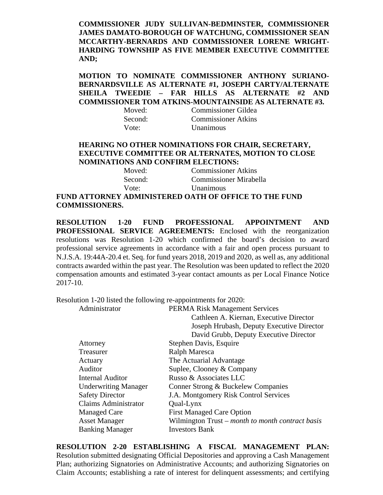**COMMISSIONER JUDY SULLIVAN-BEDMINSTER, COMMISSIONER JAMES DAMATO-BOROUGH OF WATCHUNG, COMMISSIONER SEAN MCCARTHY-BERNARDS AND COMMISSIONER LORENE WRIGHT-HARDING TOWNSHIP AS FIVE MEMBER EXECUTIVE COMMITTEE AND;** 

**MOTION TO NOMINATE COMMISSIONER ANTHONY SURIANO-BERNARDSVILLE AS ALTERNATE #1, JOSEPH CARTY/ALTERNATE SHEILA TWEEDIE – FAR HILLS AS ALTERNATE #2 AND COMMISSIONER TOM ATKINS-MOUNTAINSIDE AS ALTERNATE #3.** 

| Moved:  | Commissioner Gildea        |
|---------|----------------------------|
| Second: | <b>Commissioner Atkins</b> |
| Vote:   | <b>Unanimous</b>           |

## **HEARING NO OTHER NOMINATIONS FOR CHAIR, SECRETARY, EXECUTIVE COMMITTEE OR ALTERNATES, MOTION TO CLOSE NOMINATIONS AND CONFIRM ELECTIONS:**

| Moved:  | <b>Commissioner Atkins</b> |
|---------|----------------------------|
| Second: | Commissioner Mirabella     |
| Vote:   | <b>Unanimous</b>           |

**FUND ATTORNEY ADMINISTERED OATH OF OFFICE TO THE FUND COMMISSIONERS.** 

**RESOLUTION 1-20 FUND PROFESSIONAL APPOINTMENT AND PROFESSIONAL SERVICE AGREEMENTS:** Enclosed with the reorganization resolutions was Resolution 1-20 which confirmed the board's decision to award professional service agreements in accordance with a fair and open process pursuant to N.J.S.A. 19:44A-20.4 et. Seq. for fund years 2018, 2019 and 2020, as well as, any additional contracts awarded within the past year. The Resolution was been updated to reflect the 2020 compensation amounts and estimated 3-year contact amounts as per Local Finance Notice 2017-10.

Resolution 1-20 listed the following re-appointments for 2020:

| Administrator               | <b>PERMA Risk Management Services</b>            |
|-----------------------------|--------------------------------------------------|
|                             | Cathleen A. Kiernan, Executive Director          |
|                             | Joseph Hrubash, Deputy Executive Director        |
|                             | David Grubb, Deputy Executive Director           |
| Attorney                    | Stephen Davis, Esquire                           |
| Treasurer                   | Ralph Maresca                                    |
| Actuary                     | The Actuarial Advantage                          |
| Auditor                     | Suplee, Clooney & Company                        |
| Internal Auditor            | Russo & Associates LLC                           |
| <b>Underwriting Manager</b> | Conner Strong & Buckelew Companies               |
| <b>Safety Director</b>      | <b>J.A. Montgomery Risk Control Services</b>     |
| Claims Administrator        | Qual-Lynx                                        |
| <b>Managed Care</b>         | <b>First Managed Care Option</b>                 |
| <b>Asset Manager</b>        | Wilmington Trust – month to month contract basis |
| <b>Banking Manager</b>      | <b>Investors Bank</b>                            |

**RESOLUTION 2-20 ESTABLISHING A FISCAL MANAGEMENT PLAN:**  Resolution submitted designating Official Depositories and approving a Cash Management Plan; authorizing Signatories on Administrative Accounts; and authorizing Signatories on Claim Accounts; establishing a rate of interest for delinquent assessments; and certifying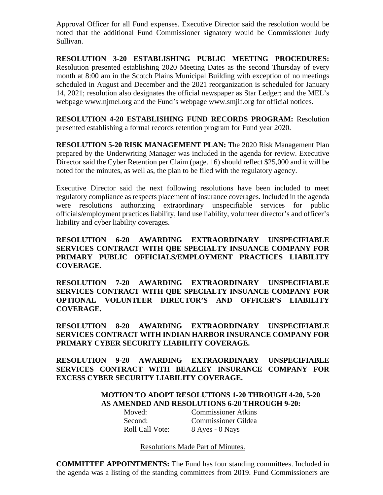Approval Officer for all Fund expenses. Executive Director said the resolution would be noted that the additional Fund Commissioner signatory would be Commissioner Judy Sullivan.

**RESOLUTION 3-20 ESTABLISHING PUBLIC MEETING PROCEDURES:**  Resolution presented establishing 2020 Meeting Dates as the second Thursday of every month at 8:00 am in the Scotch Plains Municipal Building with exception of no meetings scheduled in August and December and the 2021 reorganization is scheduled for January 14, 2021; resolution also designates the official newspaper as Star Ledger; and the MEL's webpage www.njmel.org and the Fund's webpage www.smjif.org for official notices.

**RESOLUTION 4-20 ESTABLISHING FUND RECORDS PROGRAM:** Resolution presented establishing a formal records retention program for Fund year 2020.

**RESOLUTION 5-20 RISK MANAGEMENT PLAN:** The 2020 Risk Management Plan prepared by the Underwriting Manager was included in the agenda for review. Executive Director said the Cyber Retention per Claim (page. 16) should reflect \$25,000 and it will be noted for the minutes, as well as, the plan to be filed with the regulatory agency.

Executive Director said the next following resolutions have been included to meet regulatory compliance as respects placement of insurance coverages. Included in the agenda were resolutions authorizing extraordinary unspecifiable services for public officials/employment practices liability, land use liability, volunteer director's and officer's liability and cyber liability coverages.

**RESOLUTION 6-20 AWARDING EXTRAORDINARY UNSPECIFIABLE SERVICES CONTRACT WITH QBE SPECIALTY INSUANCE COMPANY FOR PRIMARY PUBLIC OFFICIALS/EMPLOYMENT PRACTICES LIABILITY COVERAGE.** 

**RESOLUTION 7-20 AWARDING EXTRAORDINARY UNSPECIFIABLE SERVICES CONTRACT WITH QBE SPECIALTY INSUANCE COMPANY FOR OPTIONAL VOLUNTEER DIRECTOR'S AND OFFICER'S LIABILITY COVERAGE.** 

**RESOLUTION 8-20 AWARDING EXTRAORDINARY UNSPECIFIABLE SERVICES CONTRACT WITH INDIAN HARBOR INSURANCE COMPANY FOR PRIMARY CYBER SECURITY LIABILITY COVERAGE.** 

**RESOLUTION 9-20 AWARDING EXTRAORDINARY UNSPECIFIABLE SERVICES CONTRACT WITH BEAZLEY INSURANCE COMPANY FOR EXCESS CYBER SECURITY LIABILITY COVERAGE.** 

# **MOTION TO ADOPT RESOLUTIONS 1-20 THROUGH 4-20, 5-20 AS AMENDED AND RESOLUTIONS 6-20 THROUGH 9-20:**

Moved: Commissioner Atkins Second: Commissioner Gildea Roll Call Vote:8 Ayes - 0 Nays

Resolutions Made Part of Minutes.

**COMMITTEE APPOINTMENTS:** The Fund has four standing committees. Included in the agenda was a listing of the standing committees from 2019. Fund Commissioners are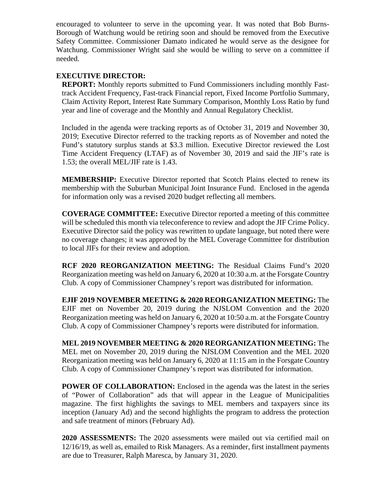encouraged to volunteer to serve in the upcoming year. It was noted that Bob Burns-Borough of Watchung would be retiring soon and should be removed from the Executive Safety Committee. Commissioner Damato indicated he would serve as the designee for Watchung. Commissioner Wright said she would be willing to serve on a committee if needed.

# **EXECUTIVE DIRECTOR:**

**REPORT:** Monthly reports submitted to Fund Commissioners including monthly Fasttrack Accident Frequency, Fast-track Financial report, Fixed Income Portfolio Summary, Claim Activity Report, Interest Rate Summary Comparison, Monthly Loss Ratio by fund year and line of coverage and the Monthly and Annual Regulatory Checklist.

Included in the agenda were tracking reports as of October 31, 2019 and November 30, 2019; Executive Director referred to the tracking reports as of November and noted the Fund's statutory surplus stands at \$3.3 million. Executive Director reviewed the Lost Time Accident Frequency (LTAF) as of November 30, 2019 and said the JIF's rate is 1.53; the overall MEL/JIF rate is 1.43.

**MEMBERSHIP:** Executive Director reported that Scotch Plains elected to renew its membership with the Suburban Municipal Joint Insurance Fund. Enclosed in the agenda for information only was a revised 2020 budget reflecting all members.

**COVERAGE COMMITTEE:** Executive Director reported a meeting of this committee will be scheduled this month via teleconference to review and adopt the JIF Crime Policy. Executive Director said the policy was rewritten to update language, but noted there were no coverage changes; it was approved by the MEL Coverage Committee for distribution to local JIFs for their review and adoption.

**RCF 2020 REORGANIZATION MEETING:** The Residual Claims Fund's 2020 Reorganization meeting was held on January 6, 2020 at 10:30 a.m. at the Forsgate Country Club. A copy of Commissioner Champney's report was distributed for information.

**EJIF 2019 NOVEMBER MEETING & 2020 REORGANIZATION MEETING:** The EJIF met on November 20, 2019 during the NJSLOM Convention and the 2020 Reorganization meeting was held on January 6, 2020 at 10:50 a.m. at the Forsgate Country Club. A copy of Commissioner Champney's reports were distributed for information.

**MEL 2019 NOVEMBER MEETING & 2020 REORGANIZATION MEETING:** The MEL met on November 20, 2019 during the NJSLOM Convention and the MEL 2020 Reorganization meeting was held on January 6, 2020 at 11:15 am in the Forsgate Country Club. A copy of Commissioner Champney's report was distributed for information.

**POWER OF COLLABORATION:** Enclosed in the agenda was the latest in the series of "Power of Collaboration" ads that will appear in the League of Municipalities magazine. The first highlights the savings to MEL members and taxpayers since its inception (January Ad) and the second highlights the program to address the protection and safe treatment of minors (February Ad).

**2020 ASSESSMENTS:** The 2020 assessments were mailed out via certified mail on 12/16/19, as well as, emailed to Risk Managers. As a reminder, first installment payments are due to Treasurer, Ralph Maresca, by January 31, 2020.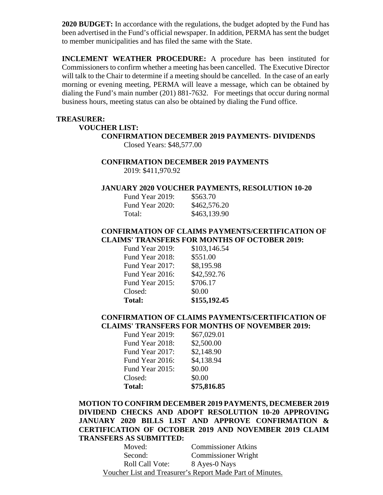**2020 BUDGET:** In accordance with the regulations, the budget adopted by the Fund has been advertised in the Fund's official newspaper. In addition, PERMA has sent the budget to member municipalities and has filed the same with the State.

**INCLEMENT WEATHER PROCEDURE:** A procedure has been instituted for Commissioners to confirm whether a meeting has been cancelled. The Executive Director will talk to the Chair to determine if a meeting should be cancelled. In the case of an early morning or evening meeting, PERMA will leave a message, which can be obtained by dialing the Fund's main number (201) 881-7632. For meetings that occur during normal business hours, meeting status can also be obtained by dialing the Fund office.

#### **TREASURER:**

#### **VOUCHER LIST:**

**CONFIRMATION DECEMBER 2019 PAYMENTS- DIVIDENDS**  Closed Years: \$48,577.00

#### **CONFIRMATION DECEMBER 2019 PAYMENTS**

2019: \$411,970.92

#### **JANUARY 2020 VOUCHER PAYMENTS, RESOLUTION 10-20**

| Fund Year 2019: | \$563.70     |
|-----------------|--------------|
| Fund Year 2020: | \$462,576.20 |
| Total:          | \$463,139.90 |

# **CONFIRMATION OF CLAIMS PAYMENTS/CERTIFICATION OF CLAIMS' TRANSFERS FOR MONTHS OF OCTOBER 2019:**

| <b>Total:</b>   | \$155,192.45 |
|-----------------|--------------|
| Closed:         | \$0.00       |
| Fund Year 2015: | \$706.17     |
| Fund Year 2016: | \$42,592.76  |
| Fund Year 2017: | \$8,195.98   |
| Fund Year 2018: | \$551.00     |
| Fund Year 2019: | \$103,146.54 |

## **CONFIRMATION OF CLAIMS PAYMENTS/CERTIFICATION OF CLAIMS' TRANSFERS FOR MONTHS OF NOVEMBER 2019:**

| <b>Total:</b>   | \$75,816.85 |
|-----------------|-------------|
| Closed:         | \$0.00      |
| Fund Year 2015: | \$0.00      |
| Fund Year 2016: | \$4,138.94  |
| Fund Year 2017: | \$2,148.90  |
| Fund Year 2018: | \$2,500.00  |
| Fund Year 2019: | \$67,029.01 |

**MOTION TO CONFIRM DECEMBER 2019 PAYMENTS, DECMEBER 2019 DIVIDEND CHECKS AND ADOPT RESOLUTION 10-20 APPROVING JANUARY 2020 BILLS LIST AND APPROVE CONFIRMATION & CERTIFICATION OF OCTOBER 2019 AND NOVEMBER 2019 CLAIM TRANSFERS AS SUBMITTED:** 

Moved: Commissioner Atkins Second: Commissioner Wright Roll Call Vote: 8 Ayes-0 Nays Voucher List and Treasurer's Report Made Part of Minutes.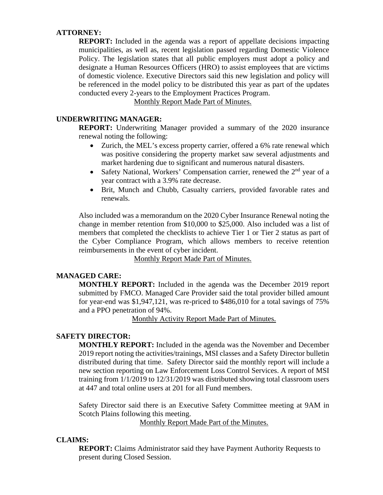# **ATTORNEY:**

**REPORT:** Included in the agenda was a report of appellate decisions impacting municipalities, as well as, recent legislation passed regarding Domestic Violence Policy. The legislation states that all public employers must adopt a policy and designate a Human Resources Officers (HRO) to assist employees that are victims of domestic violence. Executive Directors said this new legislation and policy will be referenced in the model policy to be distributed this year as part of the updates conducted every 2-years to the Employment Practices Program.

Monthly Report Made Part of Minutes.

## **UNDERWRITING MANAGER:**

**REPORT:** Underwriting Manager provided a summary of the 2020 insurance renewal noting the following:

- Zurich, the MEL's excess property carrier, offered a 6% rate renewal which was positive considering the property market saw several adjustments and market hardening due to significant and numerous natural disasters.
- Safety National, Workers' Compensation carrier, renewed the  $2<sup>nd</sup>$  year of a year contract with a 3.9% rate decrease.
- Brit, Munch and Chubb, Casualty carriers, provided favorable rates and renewals.

Also included was a memorandum on the 2020 Cyber Insurance Renewal noting the change in member retention from \$10,000 to \$25,000. Also included was a list of members that completed the checklists to achieve Tier 1 or Tier 2 status as part of the Cyber Compliance Program, which allows members to receive retention reimbursements in the event of cyber incident.

Monthly Report Made Part of Minutes.

## **MANAGED CARE:**

**MONTHLY REPORT:** Included in the agenda was the December 2019 report submitted by FMCO. Managed Care Provider said the total provider billed amount for year-end was \$1,947,121, was re-priced to \$486,010 for a total savings of 75% and a PPO penetration of 94%.

Monthly Activity Report Made Part of Minutes.

## **SAFETY DIRECTOR:**

**MONTHLY REPORT:** Included in the agenda was the November and December 2019 report noting the activities/trainings, MSI classes and a Safety Director bulletin distributed during that time. Safety Director said the monthly report will include a new section reporting on Law Enforcement Loss Control Services. A report of MSI training from 1/1/2019 to 12/31/2019 was distributed showing total classroom users at 447 and total online users at 201 for all Fund members.

Safety Director said there is an Executive Safety Committee meeting at 9AM in Scotch Plains following this meeting.

Monthly Report Made Part of the Minutes.

## **CLAIMS:**

**REPORT:** Claims Administrator said they have Payment Authority Requests to present during Closed Session.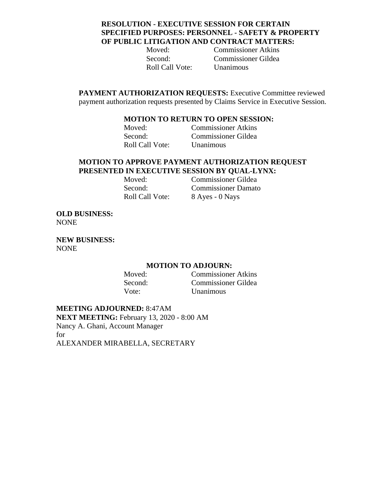# **RESOLUTION - EXECUTIVE SESSION FOR CERTAIN SPECIFIED PURPOSES: PERSONNEL - SAFETY & PROPERTY OF PUBLIC LITIGATION AND CONTRACT MATTERS:**

Roll Call Vote: Unanimous

Moved: Commissioner Atkins Second: Commissioner Gildea

**PAYMENT AUTHORIZATION REQUESTS:** Executive Committee reviewed payment authorization requests presented by Claims Service in Executive Session.

## **MOTION TO RETURN TO OPEN SESSION:**

Moved: Commissioner Atkins Second: Commissioner Gildea Roll Call Vote: Unanimous

## **MOTION TO APPROVE PAYMENT AUTHORIZATION REQUEST PRESENTED IN EXECUTIVE SESSION BY QUAL-LYNX:**

Moved: Commissioner Gildea Second: Commissioner Damato Roll Call Vote: 8 Ayes - 0 Nays

**OLD BUSINESS:**  NONE

**NEW BUSINESS:**  NONE

## **MOTION TO ADJOURN:**

Moved: Commissioner Atkins Second: Commissioner Gildea Vote: Unanimous

**MEETING ADJOURNED:** 8:47AM **NEXT MEETING:** February 13, 2020 - 8:00 AM Nancy A. Ghani, Account Manager for ALEXANDER MIRABELLA, SECRETARY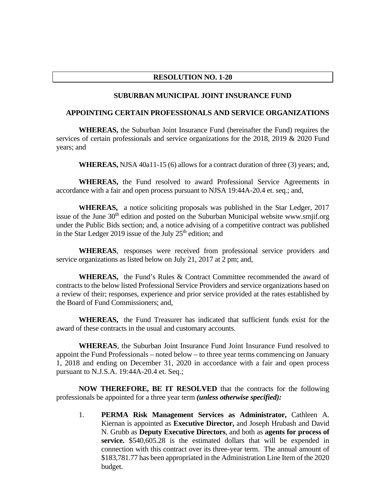## **RESOLUTION NO. 1-20**

#### **SUBURBAN MUNICIPAL JOINT INSURANCE FUND**

#### **APPOINTING CERTAIN PROFESSIONALS AND SERVICE ORGANIZATIONS**

 **WHEREAS,** the Suburban Joint Insurance Fund (hereinafter the Fund) requires the services of certain professionals and service organizations for the 2018, 2019 & 2020 Fund years; and

 **WHEREAS,** NJSA 40a11-15 (6) allows for a contract duration of three (3) years; and,

 **WHEREAS,** the Fund resolved to award Professional Service Agreements in accordance with a fair and open process pursuant to NJSA 19:44A-20.4 et. seq.; and,

**WHEREAS,** a notice soliciting proposals was published in the Star Ledger, 2017 issue of the June  $30<sup>th</sup>$  edition and posted on the Suburban Municipal website www.smjif.org under the Public Bids section; and, a notice advising of a competitive contract was published in the Star Ledger 2019 issue of the July  $25<sup>th</sup>$  edition; and

 **WHEREAS**, responses were received from professional service providers and service organizations as listed below on July 21, 2017 at 2 pm; and,

 **WHEREAS,** the Fund's Rules & Contract Committee recommended the award of contracts to the below listed Professional Service Providers and service organizations based on a review of their; responses, experience and prior service provided at the rates established by the Board of Fund Commissioners; and,

 **WHEREAS,** the Fund Treasurer has indicated that sufficient funds exist for the award of these contracts in the usual and customary accounts.

 **WHEREAS**, the Suburban Joint Insurance Fund Joint Insurance Fund resolved to appoint the Fund Professionals – noted below – to three year terms commencing on January 1, 2018 and ending on December 31, 2020 in accordance with a fair and open process pursuant to N.J.S.A. 19:44A-20.4 et. Seq.;

**NOW THEREFORE, BE IT RESOLVED** that the contracts for the following professionals be appointed for a three year term *(unless otherwise specified):*

1. **PERMA Risk Management Services as Administrator,** Cathleen A. Kiernan is appointed as **Executive Director,** and Joseph Hrubash and David N. Grubb as **Deputy Executive Directors**, and both as **agents for process of service.** \$540,605.28 is the estimated dollars that will be expended in connection with this contract over its three-year term. The annual amount of \$183,781.77 has been appropriated in the Administration Line Item of the 2020 budget.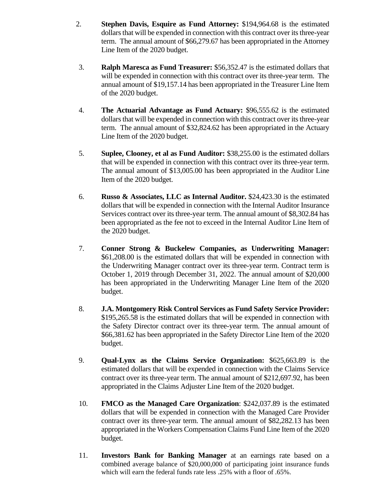- 2. **Stephen Davis, Esquire as Fund Attorney:** \$194,964.68 is the estimated dollars that will be expended in connection with this contract over its three-year term. The annual amount of \$66,279.67 has been appropriated in the Attorney Line Item of the 2020 budget.
- 3. **Ralph Maresca as Fund Treasurer:** \$56,352.47 is the estimated dollars that will be expended in connection with this contract over its three-year term. The annual amount of \$19,157.14 has been appropriated in the Treasurer Line Item of the 2020 budget.
- 4. **The Actuarial Advantage as Fund Actuary:** \$96,555.62 is the estimated dollars that will be expended in connection with this contract over its three-year term. The annual amount of \$32,824.62 has been appropriated in the Actuary Line Item of the 2020 budget.
- 5. **Suplee, Clooney, et al as Fund Auditor:** \$38,255.00 is the estimated dollars that will be expended in connection with this contract over its three-year term. The annual amount of \$13,005.00 has been appropriated in the Auditor Line Item of the 2020 budget.
- 6. **Russo & Associates, LLC as Internal Auditor.** \$24,423.30 is the estimated dollars that will be expended in connection with the Internal Auditor Insurance Services contract over its three-year term. The annual amount of \$8,302.84 has been appropriated as the fee not to exceed in the Internal Auditor Line Item of the 2020 budget.
- 7. **Conner Strong & Buckelew Companies, as Underwriting Manager:**  \$61,208.00 is the estimated dollars that will be expended in connection with the Underwriting Manager contract over its three-year term. Contract term is October 1, 2019 through December 31, 2022. The annual amount of \$20,000 has been appropriated in the Underwriting Manager Line Item of the 2020 budget.
- 8. **J.A. Montgomery Risk Control Services as Fund Safety Service Provider:**  \$195,265.58 is the estimated dollars that will be expended in connection with the Safety Director contract over its three-year term. The annual amount of \$66,381.62 has been appropriated in the Safety Director Line Item of the 2020 budget.
- 9. **Qual-Lynx as the Claims Service Organization:** \$625,663.89 is the estimated dollars that will be expended in connection with the Claims Service contract over its three-year term. The annual amount of \$212,697.92, has been appropriated in the Claims Adjuster Line Item of the 2020 budget.
- 10. **FMCO as the Managed Care Organization**: \$242,037.89 is the estimated dollars that will be expended in connection with the Managed Care Provider contract over its three-year term. The annual amount of \$82,282.13 has been appropriated in the Workers Compensation Claims Fund Line Item of the 2020 budget.
- 11. **Investors Bank for Banking Manager** at an earnings rate based on a combined average balance of \$20,000,000 of participating joint insurance funds which will earn the federal funds rate less .25% with a floor of .65%.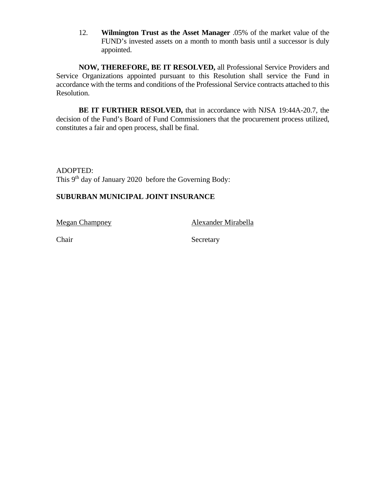12. **Wilmington Trust as the Asset Manager** .05% of the market value of the FUND's invested assets on a month to month basis until a successor is duly appointed.

**NOW, THEREFORE, BE IT RESOLVED,** all Professional Service Providers and Service Organizations appointed pursuant to this Resolution shall service the Fund in accordance with the terms and conditions of the Professional Service contracts attached to this Resolution.

 **BE IT FURTHER RESOLVED,** that in accordance with NJSA 19:44A-20.7, the decision of the Fund's Board of Fund Commissioners that the procurement process utilized, constitutes a fair and open process, shall be final.

ADOPTED: This 9<sup>th</sup> day of January 2020 before the Governing Body:

# **SUBURBAN MUNICIPAL JOINT INSURANCE**

Megan Champney Alexander Mirabella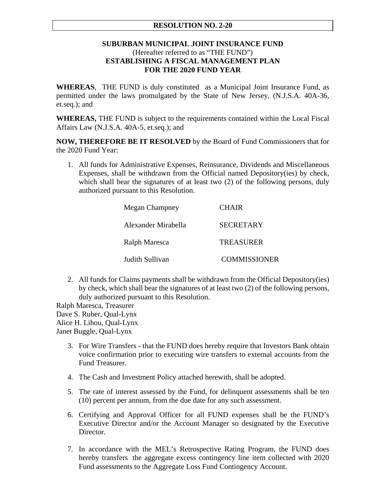# **RESOLUTION NO. 2-20**

# **SUBURBAN MUNICIPAL JOINT INSURANCE FUND** (Hereafter referred to as "THE FUND") **ESTABLISHING A FISCAL MANAGEMENT PLAN FOR THE 2020 FUND YEAR**

**WHEREAS**, THE FUND is duly constituted as a Municipal Joint Insurance Fund, as permitted under the laws promulgated by the State of New Jersey, (N.J.S.A. 40A-36, et.seq.); and

**WHEREAS,** THE FUND is subject to the requirements contained within the Local Fiscal Affairs Law (N.J.S.A. 40A-5, et.seq.); and

**NOW, THEREFORE BE IT RESOLVED** by the Board of Fund Commissioners that for the 2020 Fund Year:

1. All funds for Administrative Expenses, Reinsurance, Dividends and Miscellaneous Expenses, shall be withdrawn from the Official named Depository(ies) by check, which shall bear the signatures of at least two  $(2)$  of the following persons, duly authorized pursuant to this Resolution.

| <b>Megan Champney</b> | <b>CHAIR</b>        |
|-----------------------|---------------------|
| Alexander Mirabella   | <b>SECRETARY</b>    |
| Ralph Maresca         | <b>TREASURER</b>    |
| Judith Sullivan       | <b>COMMISSIONER</b> |

2. All funds for Claims payments shall be withdrawn from the Official Depository(ies) by check, which shall bear the signatures of at least two (2) of the following persons, duly authorized pursuant to this Resolution.

Ralph Maresca, Treasurer Dave S. Ruber, Qual-Lynx Alice H. Lihou, Qual-Lynx Janet Buggle, Qual-Lynx

- 3. For Wire Transfersthat the FUND does hereby require that Investors Bank obtain voice confirmation prior to executing wire transfers to external accounts from the Fund Treasurer.
- 4. The Cash and Investment Policy attached herewith, shall be adopted.
- 5. The rate of interest assessed by the Fund, for delinquent assessments shall be ten (10) percent per annum, from the due date for any such assessment.
- 6. Certifying and Approval Officer for all FUND expenses shall be the FUND's Executive Director and/or the Account Manager so designated by the Executive Director.
- 7. In accordance with the MEL's Retrospective Rating Program, the FUND does hereby transfers the aggregate excess contingency line item collected with 2020 Fund assessments to the Aggregate Loss Fund Contingency Account.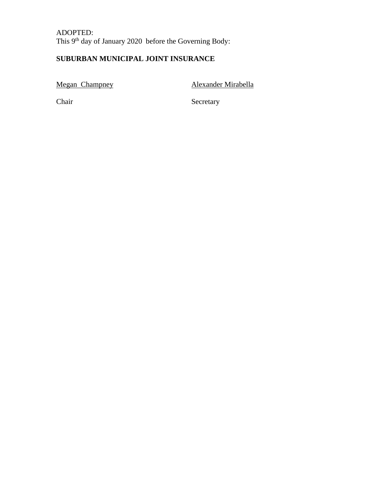ADOPTED: This 9<sup>th</sup> day of January 2020 before the Governing Body:

# **SUBURBAN MUNICIPAL JOINT INSURANCE**

Megan Champney **Alexander Mirabella**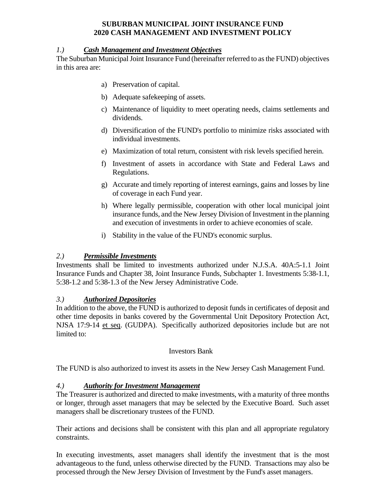# **SUBURBAN MUNICIPAL JOINT INSURANCE FUND 2020 CASH MANAGEMENT AND INVESTMENT POLICY**

# *1.) Cash Management and Investment Objectives*

The Suburban Municipal Joint Insurance Fund (hereinafter referred to as the FUND) objectives in this area are:

- a) Preservation of capital.
- b) Adequate safekeeping of assets.
- c) Maintenance of liquidity to meet operating needs, claims settlements and dividends.
- d) Diversification of the FUND's portfolio to minimize risks associated with individual investments.
- e) Maximization of total return, consistent with risk levels specified herein.
- f) Investment of assets in accordance with State and Federal Laws and Regulations.
- g) Accurate and timely reporting of interest earnings, gains and losses by line of coverage in each Fund year.
- h) Where legally permissible, cooperation with other local municipal joint insurance funds, and the New Jersey Division of Investment in the planning and execution of investments in order to achieve economies of scale.
- i) Stability in the value of the FUND's economic surplus.

# *2.) Permissible Investments*

Investments shall be limited to investments authorized under N.J.S.A. 40A:5-1.1 Joint Insurance Funds and Chapter 38, Joint Insurance Funds, Subchapter 1. Investments 5:38-1.1, 5:38-1.2 and 5:38-1.3 of the New Jersey Administrative Code.

# *3.) Authorized Depositories*

In addition to the above, the FUND is authorized to deposit funds in certificates of deposit and other time deposits in banks covered by the Governmental Unit Depository Protection Act, NJSA 17:9-14 et seq. (GUDPA). Specifically authorized depositories include but are not limited to:

## Investors Bank

The FUND is also authorized to invest its assets in the New Jersey Cash Management Fund.

# *4.) Authority for Investment Management*

The Treasurer is authorized and directed to make investments, with a maturity of three months or longer, through asset managers that may be selected by the Executive Board. Such asset managers shall be discretionary trustees of the FUND.

Their actions and decisions shall be consistent with this plan and all appropriate regulatory constraints.

In executing investments, asset managers shall identify the investment that is the most advantageous to the fund, unless otherwise directed by the FUND. Transactions may also be processed through the New Jersey Division of Investment by the Fund's asset managers.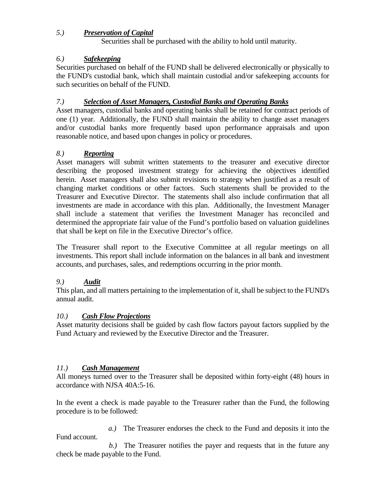# *5.) Preservation of Capital*

Securities shall be purchased with the ability to hold until maturity.

# *6.) Safekeeping*

Securities purchased on behalf of the FUND shall be delivered electronically or physically to the FUND's custodial bank, which shall maintain custodial and/or safekeeping accounts for such securities on behalf of the FUND.

# *7.) Selection of Asset Managers, Custodial Banks and Operating Banks*

Asset managers, custodial banks and operating banks shall be retained for contract periods of one (1) year. Additionally, the FUND shall maintain the ability to change asset managers and/or custodial banks more frequently based upon performance appraisals and upon reasonable notice, and based upon changes in policy or procedures.

# *8.) Reporting*

Asset managers will submit written statements to the treasurer and executive director describing the proposed investment strategy for achieving the objectives identified herein. Asset managers shall also submit revisions to strategy when justified as a result of changing market conditions or other factors. Such statements shall be provided to the Treasurer and Executive Director. The statements shall also include confirmation that all investments are made in accordance with this plan. Additionally, the Investment Manager shall include a statement that verifies the Investment Manager has reconciled and determined the appropriate fair value of the Fund's portfolio based on valuation guidelines that shall be kept on file in the Executive Director's office.

The Treasurer shall report to the Executive Committee at all regular meetings on all investments. This report shall include information on the balances in all bank and investment accounts, and purchases, sales, and redemptions occurring in the prior month.

# *9.) Audit*

This plan, and all matters pertaining to the implementation of it, shall be subject to the FUND's annual audit.

# *10.) Cash Flow Projections*

Asset maturity decisions shall be guided by cash flow factors payout factors supplied by the Fund Actuary and reviewed by the Executive Director and the Treasurer.

# *11.) Cash Management*

All moneys turned over to the Treasurer shall be deposited within forty-eight (48) hours in accordance with NJSA 40A:5-16.

In the event a check is made payable to the Treasurer rather than the Fund, the following procedure is to be followed:

 *a.)* The Treasurer endorses the check to the Fund and deposits it into the Fund account.

 *b.)* The Treasurer notifies the payer and requests that in the future any check be made payable to the Fund.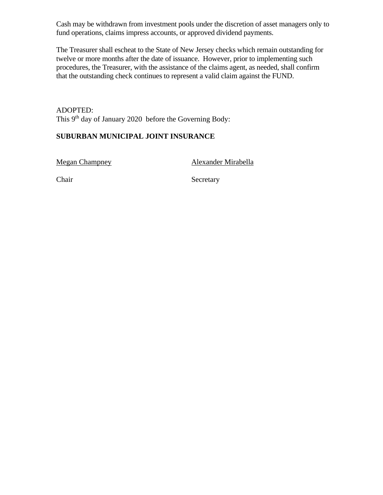Cash may be withdrawn from investment pools under the discretion of asset managers only to fund operations, claims impress accounts, or approved dividend payments.

The Treasurer shall escheat to the State of New Jersey checks which remain outstanding for twelve or more months after the date of issuance. However, prior to implementing such procedures, the Treasurer, with the assistance of the claims agent, as needed, shall confirm that the outstanding check continues to represent a valid claim against the FUND.

ADOPTED: This 9<sup>th</sup> day of January 2020 before the Governing Body:

# **SUBURBAN MUNICIPAL JOINT INSURANCE**

Megan Champney Alexander Mirabella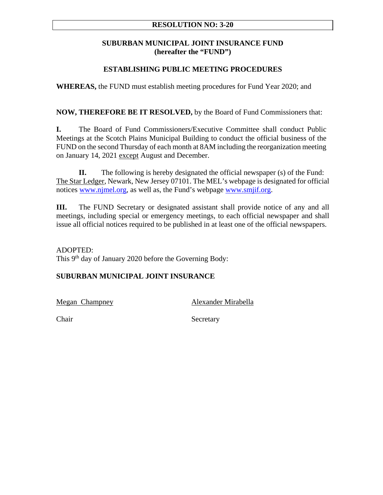# **RESOLUTION NO: 3-20**

# **SUBURBAN MUNICIPAL JOINT INSURANCE FUND (hereafter the "FUND")**

# **ESTABLISHING PUBLIC MEETING PROCEDURES**

**WHEREAS,** the FUND must establish meeting procedures for Fund Year 2020; and

**NOW, THEREFORE BE IT RESOLVED,** by the Board of Fund Commissioners that:

**I.** The Board of Fund Commissioners/Executive Committee shall conduct Public Meetings at the Scotch Plains Municipal Building to conduct the official business of the FUND on the second Thursday of each month at 8AM including the reorganization meeting on January 14, 2021 except August and December.

**II.** The following is hereby designated the official newspaper (s) of the Fund: The Star Ledger, Newark, New Jersey 07101. The MEL's webpage is designated for official notices www.njmel.org, as well as, the Fund's webpage www.smjif.org.

**III.** The FUND Secretary or designated assistant shall provide notice of any and all meetings, including special or emergency meetings, to each official newspaper and shall issue all official notices required to be published in at least one of the official newspapers.

ADOPTED: This 9<sup>th</sup> day of January 2020 before the Governing Body:

# **SUBURBAN MUNICIPAL JOINT INSURANCE**

Megan Champney Alexander Mirabella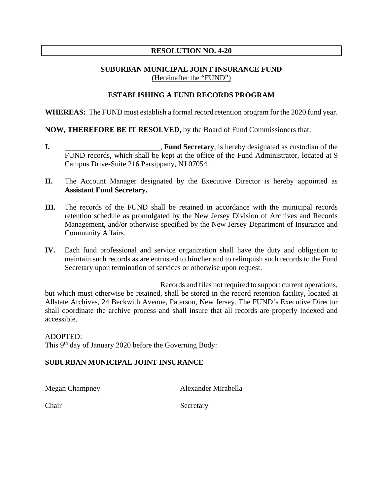# **RESOLUTION NO. 4-20**

# **SUBURBAN MUNICIPAL JOINT INSURANCE FUND** (Hereinafter the "FUND")

## **ESTABLISHING A FUND RECORDS PROGRAM**

**WHEREAS:** The FUND must establish a formal record retention program for the 2020 fund year.

## **NOW, THEREFORE BE IT RESOLVED,** by the Board of Fund Commissioners that:

- **I. Fund Secretary**, is hereby designated as custodian of the FUND records, which shall be kept at the office of the Fund Administrator, located at 9 Campus Drive-Suite 216 Parsippany, NJ 07054.
- **II.** The Account Manager designated by the Executive Director is hereby appointed as **Assistant Fund Secretary.**
- **III.** The records of the FUND shall be retained in accordance with the municipal records retention schedule as promulgated by the New Jersey Division of Archives and Records Management, and/or otherwise specified by the New Jersey Department of Insurance and Community Affairs.
- **IV.** Each fund professional and service organization shall have the duty and obligation to maintain such records as are entrusted to him/her and to relinquish such records to the Fund Secretary upon termination of services or otherwise upon request.

 Records and files not required to support current operations, but which must otherwise be retained, shall be stored in the record retention facility, located at Allstate Archives, 24 Beckwith Avenue, Paterson, New Jersey. The FUND's Executive Director shall coordinate the archive process and shall insure that all records are properly indexed and accessible.

#### ADOPTED:

This 9<sup>th</sup> day of January 2020 before the Governing Body:

## **SUBURBAN MUNICIPAL JOINT INSURANCE**

Megan Champney Alexander Mirabella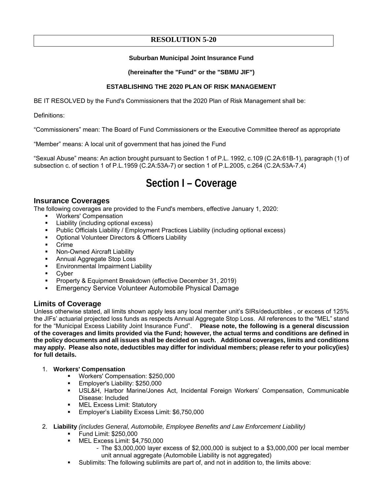# **RESOLUTION 5-20**

### **Suburban Municipal Joint Insurance Fund**

### **(hereinafter the "Fund" or the "SBMU JIF")**

## **ESTABLISHING THE 2020 PLAN OF RISK MANAGEMENT**

BE IT RESOLVED by the Fund's Commissioners that the 2020 Plan of Risk Management shall be:

Definitions:

"Commissioners" mean: The Board of Fund Commissioners or the Executive Committee thereof as appropriate

"Member" means: A local unit of government that has joined the Fund

"Sexual Abuse" means: An action brought pursuant to Section 1 of P.L. 1992, c.109 (C.2A:61B-1), paragraph (1) of subsection c. of section 1 of P.L.1959 (C.2A:53A-7) or section 1 of P.L.2005, c.264 (C.2A:53A-7.4)

# **Section I – Coverage**

## **Insurance Coverages**

The following coverages are provided to the Fund's members, effective January 1, 2020:

- Workers' Compensation
- Liability (including optional excess)
- Public Officials Liability / Employment Practices Liability (including optional excess)
- Optional Volunteer Directors & Officers Liability
- Crime
- Non-Owned Aircraft Liability
- **Annual Aggregate Stop Loss**
- **Environmental Impairment Liability**
- Cyber
- **Property & Equipment Breakdown (effective December 31, 2019)**
- **Emergency Service Volunteer Automobile Physical Damage**

# **Limits of Coverage**

Unless otherwise stated, all limits shown apply less any local member unit's SIRs/deductibles , or excess of 125% the JIFs' actuarial projected loss funds as respects Annual Aggregate Stop Loss. All references to the "MEL" stand for the "Municipal Excess Liability Joint Insurance Fund". **Please note, the following is a general discussion of the coverages and limits provided via the Fund; however, the actual terms and conditions are defined in the policy documents and all issues shall be decided on such. Additional coverages, limits and conditions may apply. Please also note, deductibles may differ for individual members; please refer to your policy(ies) for full details.**

- 1. **Workers' Compensation** 
	- **Workers' Compensation: \$250,000**
	- **Employer's Liability: \$250,000**
	- USL&H, Harbor Marine/Jones Act, Incidental Foreign Workers' Compensation, Communicable Disease: Included
	- MEL Excess Limit: Statutory
	- **Employer's Liability Excess Limit: \$6,750,000**
- 2. **Liability** *(includes General, Automobile, Employee Benefits and Law Enforcement Liability)*
	- **Fund Limit: \$250,000**
	- MEL Excess Limit: \$4,750,000
		- The \$3,000,000 layer excess of \$2,000,000 is subject to a \$3,000,000 per local member unit annual aggregate (Automobile Liability is not aggregated)
	- Sublimits: The following sublimits are part of, and not in addition to, the limits above: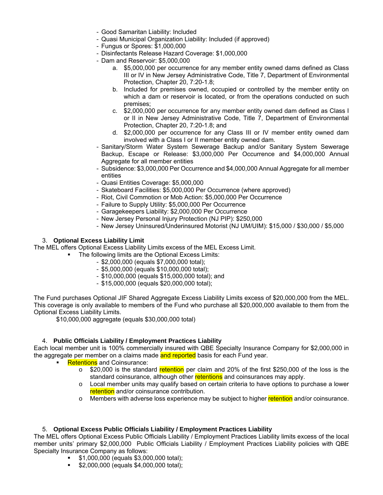- Good Samaritan Liability: Included
- Quasi Municipal Organization Liability: Included (if approved)
- Fungus or Spores: \$1,000,000
- Disinfectants Release Hazard Coverage: \$1,000,000
- Dam and Reservoir: \$5,000,000
	- a. \$5,000,000 per occurrence for any member entity owned dams defined as Class III or IV in New Jersey Administrative Code, Title 7, Department of Environmental Protection, Chapter 20, 7:20-1.8;
	- b. Included for premises owned, occupied or controlled by the member entity on which a dam or reservoir is located, or from the operations conducted on such premises;
	- c. \$2,000,000 per occurrence for any member entity owned dam defined as Class I or II in New Jersey Administrative Code, Title 7, Department of Environmental Protection, Chapter 20, 7:20-1.8; and
	- d. \$2,000,000 per occurrence for any Class III or IV member entity owned dam involved with a Class I or II member entity owned dam.
- Sanitary/Storm Water System Sewerage Backup and/or Sanitary System Sewerage Backup, Escape or Release: \$3,000,000 Per Occurrence and \$4,000,000 Annual Aggregate for all member entities
- Subsidence: \$3,000,000 Per Occurrence and \$4,000,000 Annual Aggregate for all member entities
- Quasi Entities Coverage: \$5,000,000
- Skateboard Facilities: \$5,000,000 Per Occurrence (where approved)
- Riot, Civil Commotion or Mob Action: \$5,000,000 Per Occurrence
- Failure to Supply Utility: \$5,000,000 Per Occurrence
- Garagekeepers Liability: \$2,000,000 Per Occurrence
- New Jersey Personal Injury Protection (NJ PIP): \$250,000
- New Jersey Uninsured/Underinsured Motorist (NJ UM/UIM): \$15,000 / \$30,000 / \$5,000

### 3. **Optional Excess Liability Limit**

The MEL offers Optional Excess Liability Limits excess of the MEL Excess Limit.

- The following limits are the Optional Excess Limits:
	- \$2,000,000 (equals \$7,000,000 total);
	- \$5,000,000 (equals \$10,000,000 total);
	- \$10,000,000 (equals \$15,000,000 total); and
	- \$15,000,000 (equals \$20,000,000 total);

The Fund purchases Optional JIF Shared Aggregate Excess Liability Limits excess of \$20,000,000 from the MEL. This coverage is only available to members of the Fund who purchase all \$20,000,000 available to them from the Optional Excess Liability Limits.

\$10,000,000 aggregate (equals \$30,000,000 total)

#### 4. **Public Officials Liability / Employment Practices Liability**

Each local member unit is 100% commercially insured with QBE Specialty Insurance Company for \$2,000,000 in the aggregate per member on a claims made and reported basis for each Fund year.

- Retentions and Coinsurance:
	- $\circ$  \$20,000 is the standard retention per claim and 20% of the first \$250,000 of the loss is the standard coinsurance, although other retentions and coinsurances may apply.
	- $\circ$  Local member units may qualify based on certain criteria to have options to purchase a lower retention and/or coinsurance contribution.
	- o Members with adverse loss experience may be subject to higher retention and/or coinsurance.

#### 5. **Optional Excess Public Officials Liability / Employment Practices Liability**

The MEL offers Optional Excess Public Officials Liability / Employment Practices Liability limits excess of the local member units' primary \$2,000,000 Public Officials Liability / Employment Practices Liability policies with QBE Specialty Insurance Company as follows:

- \$1,000,000 (equals \$3,000,000 total);
- **\$2,000,000 (equals \$4,000,000 total);**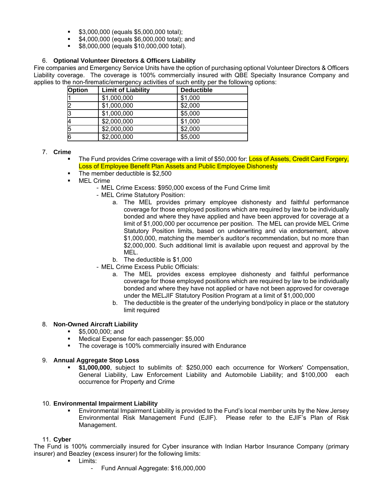- **\$3,000,000 (equals \$5,000,000 total);**
- **\$4,000,000 (equals \$6,000,000 total); and**
- **\$8,000,000 (equals \$10,000,000 total).**

#### 6. **Optional Volunteer Directors & Officers Liability**

Fire companies and Emergency Service Units have the option of purchasing optional Volunteer Directors & Officers Liability coverage. The coverage is 100% commercially insured with QBE Specialty Insurance Company and applies to the non-firematic/emergency activities of such entity per the following options:

| <b>Option</b> | <b>Limit of Liability</b> | <b>Deductible</b> |
|---------------|---------------------------|-------------------|
|               | \$1,000,000               | \$1,000           |
|               | \$1,000,000               | \$2,000           |
| B             | \$1,000,000               | \$5,000           |
|               | \$2,000,000               | \$1,000           |
| 15            | \$2,000,000               | \$2,000           |
| 6             | \$2,000,000               | \$5,000           |

7. **Crime** 

- The Fund provides Crime coverage with a limit of \$50,000 for: Loss of Assets, Credit Card Forgery, Loss of Employee Benefit Plan Assets and Public Employee Dishonesty
- The member deductible is \$2,500
- MEL Crime
	- MEL Crime Excess: \$950,000 excess of the Fund Crime limit
	- MEL Crime Statutory Position:
		- a. The MEL provides primary employee dishonesty and faithful performance coverage for those employed positions which are required by law to be individually bonded and where they have applied and have been approved for coverage at a limit of \$1,000,000 per occurrence per position. The MEL can provide MEL Crime Statutory Position limits, based on underwriting and via endorsement, above \$1,000,000, matching the member's auditor's recommendation, but no more than \$2,000,000. Such additional limit is available upon request and approval by the MEL.
		- b. The deductible is \$1,000
	- MEL Crime Excess Public Officials:
		- a. The MEL provides excess employee dishonesty and faithful performance coverage for those employed positions which are required by law to be individually bonded and where they have not applied or have not been approved for coverage under the MELJIF Statutory Position Program at a limit of \$1,000,000
		- b. The deductible is the greater of the underlying bond/policy in place or the statutory limit required

#### 8. **Non-Owned Aircraft Liability**

- **55,000,000; and**
- Medical Expense for each passenger: \$5,000
- **The coverage is 100% commercially insured with Endurance**

#### 9. **Annual Aggregate Stop Loss**

 **\$1,000,000**, subject to sublimits of: \$250,000 each occurrence for Workers' Compensation, General Liability, Law Enforcement Liability and Automobile Liability; and \$100,000 each occurrence for Property and Crime

#### 10. **Environmental Impairment Liability**

 Environmental Impairment Liability is provided to the Fund's local member units by the New Jersey Environmental Risk Management Fund (EJIF). Please refer to the EJIF's Plan of Risk Management.

#### 11. **Cyber**

The Fund is 100% commercially insured for Cyber insurance with Indian Harbor Insurance Company (primary insurer) and Beazley (excess insurer) for the following limits:

- **Limits:** 
	- Fund Annual Aggregate: \$16,000,000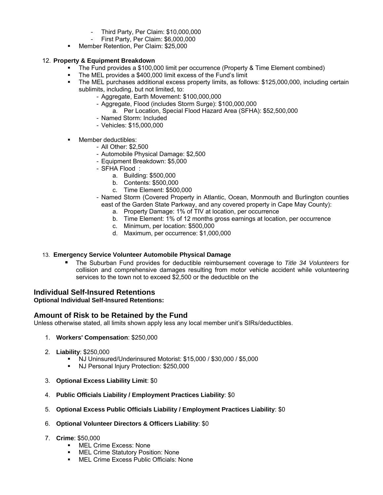- Third Party, Per Claim: \$10,000,000
- First Party, Per Claim: \$6,000,000
- **Member Retention, Per Claim: \$25,000**

## 12. **Property & Equipment Breakdown**

- The Fund provides a \$100,000 limit per occurrence (Property & Time Element combined)
- The MEL provides a \$400,000 limit excess of the Fund's limit
- The MEL purchases additional excess property limits, as follows: \$125,000,000, including certain sublimits, including, but not limited, to:
	- Aggregate, Earth Movement: \$100,000,000
	- Aggregate, Flood (includes Storm Surge): \$100,000,000
		- a. Per Location, Special Flood Hazard Area (SFHA): \$52,500,000
	- Named Storm: Included
	- Vehicles: \$15,000,000
- **Member deductibles:** 
	- All Other: \$2,500
	- Automobile Physical Damage: \$2,500
	- Equipment Breakdown: \$5,000
	- SFHA Flood :
		- a. Building: \$500,000
		- b. Contents: \$500,000
		- c. Time Element: \$500,000
	- Named Storm (Covered Property in Atlantic, Ocean, Monmouth and Burlington counties east of the Garden State Parkway, and any covered property in Cape May County):
		- a. Property Damage: 1% of TIV at location, per occurrence
		- b. Time Element: 1% of 12 months gross earnings at location, per occurrence
		- c. Minimum, per location: \$500,000
		- d. Maximum, per occurrence: \$1,000,000

## 13. **Emergency Service Volunteer Automobile Physical Damage**

 The Suburban Fund provides for deductible reimbursement coverage to *Title 34 Volunteers* for collision and comprehensive damages resulting from motor vehicle accident while volunteering services to the town not to exceed \$2,500 or the deductible on the

# **Individual Self-Insured Retentions**

## **Optional Individual Self-Insured Retentions:**

# **Amount of Risk to be Retained by the Fund**

Unless otherwise stated, all limits shown apply less any local member unit's SIRs/deductibles.

- 1. **Workers' Compensation**: \$250,000
- 2. **Liability**: \$250,000
	- NJ Uninsured/Underinsured Motorist: \$15,000 / \$30,000 / \$5,000<br>■ NJ Personal Injury Protection: \$250,000
	- NJ Personal Injury Protection: \$250,000
- 3. **Optional Excess Liability Limit**: \$0
- 4. **Public Officials Liability / Employment Practices Liability**: \$0
- 5. **Optional Excess Public Officials Liability / Employment Practices Liability**: \$0
- 6. **Optional Volunteer Directors & Officers Liability**: \$0

#### 7. **Crime**: \$50,000

- **NEL Crime Excess: None**
- MEL Crime Statutory Position: None
- **KEL Crime Excess Public Officials: None**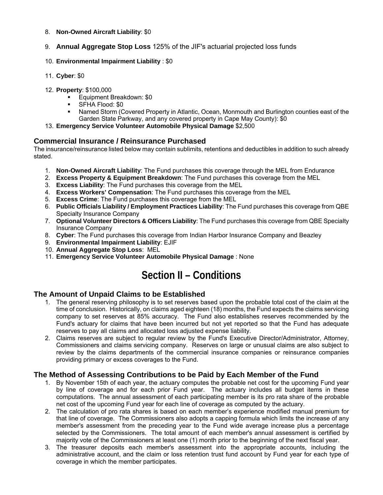#### 8. **Non-Owned Aircraft Liability**: \$0

- 9. **Annual Aggregate Stop Loss** 125% of the JIF's actuarial projected loss funds
- 10. **Environmental Impairment Liability** : \$0
- 11. **Cyber**: \$0
- 12. **Property**: \$100,000
	- **Equipment Breakdown: \$0**
	- SFHA Flood: \$0
	- Named Storm (Covered Property in Atlantic, Ocean, Monmouth and Burlington counties east of the Garden State Parkway, and any covered property in Cape May County): \$0
- 13. **Emergency Service Volunteer Automobile Physical Damage** \$2,500

## **Commercial Insurance / Reinsurance Purchased**

The insurance/reinsurance listed below may contain sublimits, retentions and deductibles in addition to such already stated.

- 1. **Non-Owned Aircraft Liability**: The Fund purchases this coverage through the MEL from Endurance
- 2. **Excess Property & Equipment Breakdown**: The Fund purchases this coverage from the MEL
- 3. **Excess Liability**: The Fund purchases this coverage from the MEL
- 4. **Excess Workers' Compensation**: The Fund purchases this coverage from the MEL
- 5. **Excess Crime**: The Fund purchases this coverage from the MEL
- 6. **Public Officials Liability / Employment Practices Liability**: The Fund purchases this coverage from QBE Specialty Insurance Company
- 7. **Optional Volunteer Directors & Officers Liability**: The Fund purchases this coverage from QBE Specialty Insurance Company
- 8. **Cyber**: The Fund purchases this coverage from Indian Harbor Insurance Company and Beazley
- 9. **Environmental Impairment Liability**: EJIF
- 10. **Annual Aggregate Stop Loss**: MEL
- 11. **Emergency Service Volunteer Automobile Physical Damage** : None

# **Section II – Conditions**

# **The Amount of Unpaid Claims to be Established**

- 1. The general reserving philosophy is to set reserves based upon the probable total cost of the claim at the time of conclusion. Historically, on claims aged eighteen (18) months, the Fund expects the claims servicing company to set reserves at 85% accuracy. The Fund also establishes reserves recommended by the Fund's actuary for claims that have been incurred but not yet reported so that the Fund has adequate reserves to pay all claims and allocated loss adjusted expense liability.
- 2. Claims reserves are subject to regular review by the Fund's Executive Director/Administrator, Attorney, Commissioners and claims servicing company. Reserves on large or unusual claims are also subject to review by the claims departments of the commercial insurance companies or reinsurance companies providing primary or excess coverages to the Fund.

# **The Method of Assessing Contributions to be Paid by Each Member of the Fund**

- 1. By November 15th of each year, the actuary computes the probable net cost for the upcoming Fund year by line of coverage and for each prior Fund year. The actuary includes all budget items in these computations. The annual assessment of each participating member is its pro rata share of the probable net cost of the upcoming Fund year for each line of coverage as computed by the actuary.
- 2. The calculation of pro rata shares is based on each member's experience modified manual premium for that line of coverage. The Commissioners also adopts a capping formula which limits the increase of any member's assessment from the preceding year to the Fund wide average increase plus a percentage selected by the Commissioners. The total amount of each member's annual assessment is certified by majority vote of the Commissioners at least one (1) month prior to the beginning of the next fiscal year.
- 3. The treasurer deposits each member's assessment into the appropriate accounts, including the administrative account, and the claim or loss retention trust fund account by Fund year for each type of coverage in which the member participates.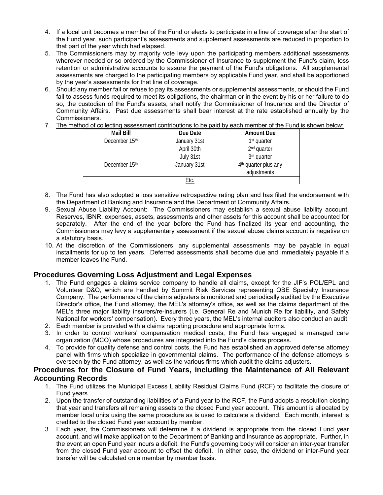- 4. If a local unit becomes a member of the Fund or elects to participate in a line of coverage after the start of the Fund year, such participant's assessments and supplement assessments are reduced in proportion to that part of the year which had elapsed.
- 5. The Commissioners may by majority vote levy upon the participating members additional assessments wherever needed or so ordered by the Commissioner of Insurance to supplement the Fund's claim, loss retention or administrative accounts to assure the payment of the Fund's obligations. All supplemental assessments are charged to the participating members by applicable Fund year, and shall be apportioned by the year's assessments for that line of coverage.
- 6. Should any member fail or refuse to pay its assessments or supplemental assessments, or should the Fund fail to assess funds required to meet its obligations, the chairman or in the event by his or her failure to do so, the custodian of the Fund's assets, shall notify the Commissioner of Insurance and the Director of Community Affairs. Past due assessments shall bear interest at the rate established annually by the Commissioners.
- 7. The method of collecting assessment contributions to be paid by each member of the Fund is shown below:

| Mail Bill     | Due Date     | <b>Amount Due</b>                |
|---------------|--------------|----------------------------------|
| December 15th | January 31st | 1 <sup>st</sup> quarter          |
|               | April 30th   | 2 <sup>nd</sup> quarter          |
|               | July 31st    | 3 <sup>rd</sup> quarter          |
| December 15th | January 31st | 4 <sup>th</sup> quarter plus any |
|               |              | adjustments                      |
|               | Etc.         |                                  |

- 8. The Fund has also adopted a loss sensitive retrospective rating plan and has filed the endorsement with the Department of Banking and Insurance and the Department of Community Affairs.
- 9. Sexual Abuse Liability Account: The Commissioners may establish a sexual abuse liability account. Reserves, IBNR, expenses, assets, assessments and other assets for this account shall be accounted for separately. After the end of the year before the Fund has finalized its year end accounting, the Commissioners may levy a supplementary assessment if the sexual abuse claims account is negative on a statutory basis.
- 10. At the discretion of the Commissioners, any supplemental assessments may be payable in equal installments for up to ten years. Deferred assessments shall become due and immediately payable if a member leaves the Fund.

## **Procedures Governing Loss Adjustment and Legal Expenses**

- 1. The Fund engages a claims service company to handle all claims, except for the JIF's POL/EPL and Volunteer D&O, which are handled by Summit Risk Services representing QBE Specialty Insurance Company. The performance of the claims adjusters is monitored and periodically audited by the Executive Director's office, the Fund attorney, the MEL's attorney's office, as well as the claims department of the MEL's three major liability insurers/re-insurers (i.e. General Re and Munich Re for liability, and Safety National for workers' compensation). Every three years, the MEL's internal auditors also conduct an audit.
- 2. Each member is provided with a claims reporting procedure and appropriate forms.
- 3. In order to control workers' compensation medical costs, the Fund has engaged a managed care organization (MCO) whose procedures are integrated into the Fund's claims process.
- 4. To provide for quality defense and control costs, the Fund has established an approved defense attorney panel with firms which specialize in governmental claims. The performance of the defense attorneys is overseen by the Fund attorney, as well as the various firms which audit the claims adjusters.

## **Procedures for the Closure of Fund Years, including the Maintenance of All Relevant Accounting Records**

- 1. The Fund utilizes the Municipal Excess Liability Residual Claims Fund (RCF) to facilitate the closure of Fund years.
- 2. Upon the transfer of outstanding liabilities of a Fund year to the RCF, the Fund adopts a resolution closing that year and transfers all remaining assets to the closed Fund year account. This amount is allocated by member local units using the same procedure as is used to calculate a dividend. Each month, interest is credited to the closed Fund year account by member.
- 3. Each year, the Commissioners will determine if a dividend is appropriate from the closed Fund year account, and will make application to the Department of Banking and Insurance as appropriate. Further, in the event an open Fund year incurs a deficit, the Fund's governing body will consider an inter-year transfer from the closed Fund year account to offset the deficit. In either case, the dividend or inter-Fund year transfer will be calculated on a member by member basis.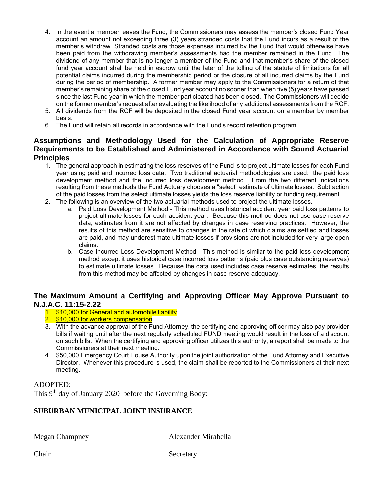- 4. In the event a member leaves the Fund, the Commissioners may assess the member's closed Fund Year account an amount not exceeding three (3) years stranded costs that the Fund incurs as a result of the member's withdraw. Stranded costs are those expenses incurred by the Fund that would otherwise have been paid from the withdrawing member's assessments had the member remained in the Fund. The dividend of any member that is no longer a member of the Fund and that member's share of the closed fund year account shall be held in escrow until the later of the tolling of the statute of limitations for all potential claims incurred during the membership period or the closure of all incurred claims by the Fund during the period of membership. A former member may apply to the Commissioners for a return of that member's remaining share of the closed Fund year account no sooner than when five (5) years have passed since the last Fund year in which the member participated has been closed. The Commissioners will decide on the former member's request after evaluating the likelihood of any additional assessments from the RCF.
- 5. All dividends from the RCF will be deposited in the closed Fund year account on a member by member basis.
- 6. The Fund will retain all records in accordance with the Fund's record retention program.

# **Assumptions and Methodology Used for the Calculation of Appropriate Reserve Requirements to be Established and Administered in Accordance with Sound Actuarial Principles**

- 1. The general approach in estimating the loss reserves of the Fund is to project ultimate losses for each Fund year using paid and incurred loss data. Two traditional actuarial methodologies are used: the paid loss development method and the incurred loss development method. From the two different indications resulting from these methods the Fund Actuary chooses a "select" estimate of ultimate losses. Subtraction of the paid losses from the select ultimate losses yields the loss reserve liability or funding requirement.
- 2. The following is an overview of the two actuarial methods used to project the ultimate losses.
	- a. Paid Loss Development Method This method uses historical accident year paid loss patterns to project ultimate losses for each accident year. Because this method does not use case reserve data, estimates from it are not affected by changes in case reserving practices. However, the results of this method are sensitive to changes in the rate of which claims are settled and losses are paid, and may underestimate ultimate losses if provisions are not included for very large open claims.
	- b. Case Incurred Loss Development Method This method is similar to the paid loss development method except it uses historical case incurred loss patterns (paid plus case outstanding reserves) to estimate ultimate losses. Because the data used includes case reserve estimates, the results from this method may be affected by changes in case reserve adequacy.

# **The Maximum Amount a Certifying and Approving Officer May Approve Pursuant to N.J.A.C. 11:15-2.22**

- 1. \$10,000 for General and automobile liability
- 2. \$10,000 for workers compensation
- 3. With the advance approval of the Fund Attorney, the certifying and approving officer may also pay provider bills if waiting until after the next regularly scheduled FUND meeting would result in the loss of a discount on such bills. When the certifying and approving officer utilizes this authority, a report shall be made to the Commissioners at their next meeting.
- 4. \$50,000 Emergency Court House Authority upon the joint authorization of the Fund Attorney and Executive Director. Whenever this procedure is used, the claim shall be reported to the Commissioners at their next meeting.

## ADOPTED:

This 9<sup>th</sup> day of January 2020 before the Governing Body:

## **SUBURBAN MUNICIPAL JOINT INSURANCE**

Megan Champney Alexander Mirabella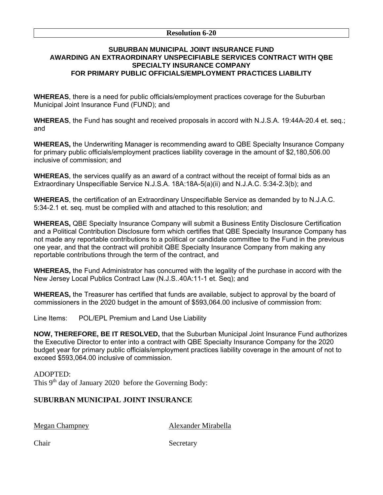#### **Resolution 6-20**

## **SUBURBAN MUNICIPAL JOINT INSURANCE FUND AWARDING AN EXTRAORDINARY UNSPECIFIABLE SERVICES CONTRACT WITH QBE SPECIALTY INSURANCE COMPANY FOR PRIMARY PUBLIC OFFICIALS/EMPLOYMENT PRACTICES LIABILITY**

**WHEREAS**, there is a need for public officials/employment practices coverage for the Suburban Municipal Joint Insurance Fund (FUND); and

**WHEREAS**, the Fund has sought and received proposals in accord with N.J.S.A. 19:44A-20.4 et. seq.; and

**WHEREAS,** the Underwriting Manager is recommending award to QBE Specialty Insurance Company for primary public officials/employment practices liability coverage in the amount of \$2,180,506.00 inclusive of commission; and

**WHEREAS**, the services qualify as an award of a contract without the receipt of formal bids as an Extraordinary Unspecifiable Service N.J.S.A. 18A:18A-5(a)(ii) and N.J.A.C. 5:34-2.3(b); and

**WHEREAS**, the certification of an Extraordinary Unspecifiable Service as demanded by to N.J.A.C. 5:34-2.1 et. seq. must be complied with and attached to this resolution; and

**WHEREAS,** QBE Specialty Insurance Company will submit a Business Entity Disclosure Certification and a Political Contribution Disclosure form which certifies that QBE Specialty Insurance Company has not made any reportable contributions to a political or candidate committee to the Fund in the previous one year, and that the contract will prohibit QBE Specialty Insurance Company from making any reportable contributions through the term of the contract, and

**WHEREAS,** the Fund Administrator has concurred with the legality of the purchase in accord with the New Jersey Local Publics Contract Law (N.J.S..40A:11-1 et. Seq); and

**WHEREAS,** the Treasurer has certified that funds are available, subject to approval by the board of commissioners in the 2020 budget in the amount of \$593,064.00 inclusive of commission from:

Line Items: POL/EPL Premium and Land Use Liability

**NOW, THEREFORE, BE IT RESOLVED,** that the Suburban Municipal Joint Insurance Fund authorizes the Executive Director to enter into a contract with QBE Specialty Insurance Company for the 2020 budget year for primary public officials/employment practices liability coverage in the amount of not to exceed \$593,064.00 inclusive of commission.

## ADOPTED: This 9<sup>th</sup> day of January 2020 before the Governing Body:

# **SUBURBAN MUNICIPAL JOINT INSURANCE**

Megan Champney Alexander Mirabella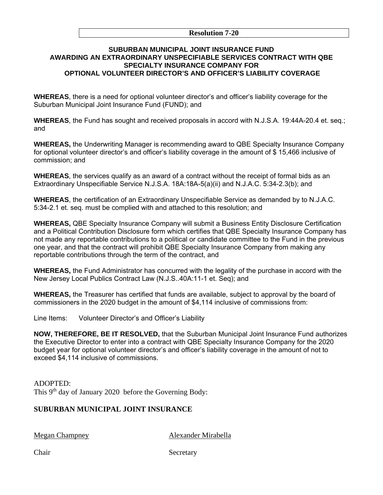#### **Resolution 7-20**

### **SUBURBAN MUNICIPAL JOINT INSURANCE FUND AWARDING AN EXTRAORDINARY UNSPECIFIABLE SERVICES CONTRACT WITH QBE SPECIALTY INSURANCE COMPANY FOR OPTIONAL VOLUNTEER DIRECTOR'S AND OFFICER'S LIABILITY COVERAGE**

**WHEREAS**, there is a need for optional volunteer director's and officer's liability coverage for the Suburban Municipal Joint Insurance Fund (FUND); and

**WHEREAS**, the Fund has sought and received proposals in accord with N.J.S.A. 19:44A-20.4 et. seq.; and

**WHEREAS,** the Underwriting Manager is recommending award to QBE Specialty Insurance Company for optional volunteer director's and officer's liability coverage in the amount of \$ 15,466 inclusive of commission; and

**WHEREAS**, the services qualify as an award of a contract without the receipt of formal bids as an Extraordinary Unspecifiable Service N.J.S.A. 18A:18A-5(a)(ii) and N.J.A.C. 5:34-2.3(b); and

**WHEREAS**, the certification of an Extraordinary Unspecifiable Service as demanded by to N.J.A.C. 5:34-2.1 et. seq. must be complied with and attached to this resolution; and

**WHEREAS,** QBE Specialty Insurance Company will submit a Business Entity Disclosure Certification and a Political Contribution Disclosure form which certifies that QBE Specialty Insurance Company has not made any reportable contributions to a political or candidate committee to the Fund in the previous one year, and that the contract will prohibit QBE Specialty Insurance Company from making any reportable contributions through the term of the contract, and

**WHEREAS,** the Fund Administrator has concurred with the legality of the purchase in accord with the New Jersey Local Publics Contract Law (N.J.S..40A:11-1 et. Seq); and

**WHEREAS,** the Treasurer has certified that funds are available, subject to approval by the board of commissioners in the 2020 budget in the amount of \$4,114 inclusive of commissions from:

Line Items: Volunteer Director's and Officer's Liability

**NOW, THEREFORE, BE IT RESOLVED,** that the Suburban Municipal Joint Insurance Fund authorizes the Executive Director to enter into a contract with QBE Specialty Insurance Company for the 2020 budget year for optional volunteer director's and officer's liability coverage in the amount of not to exceed \$4,114 inclusive of commissions.

ADOPTED: This 9<sup>th</sup> day of January 2020 before the Governing Body:

# **SUBURBAN MUNICIPAL JOINT INSURANCE**

Megan Champney Alexander Mirabella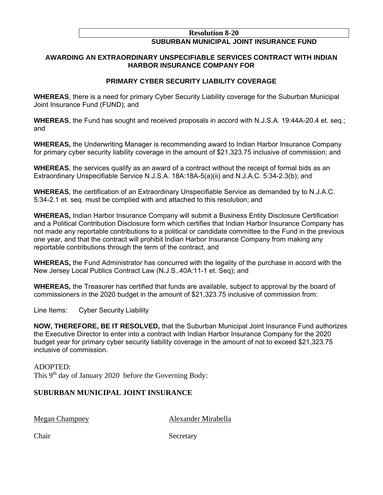#### **Resolution 8-20**

# **SUBURBAN MUNICIPAL JOINT INSURANCE FUND**

## **AWARDING AN EXTRAORDINARY UNSPECIFIABLE SERVICES CONTRACT WITH INDIAN HARBOR INSURANCE COMPANY FOR**

## **PRIMARY CYBER SECURITY LIABILITY COVERAGE**

**WHEREAS**, there is a need for primary Cyber Security Liability coverage for the Suburban Municipal Joint Insurance Fund (FUND); and

**WHEREAS**, the Fund has sought and received proposals in accord with N.J.S.A. 19:44A-20.4 et. seq.; and

**WHEREAS,** the Underwriting Manager is recommending award to Indian Harbor Insurance Company for primary cyber security liability coverage in the amount of \$21,323.75 inclusive of commission; and

**WHEREAS**, the services qualify as an award of a contract without the receipt of formal bids as an Extraordinary Unspecifiable Service N.J.S.A. 18A:18A-5(a)(ii) and N.J.A.C. 5:34-2.3(b); and

**WHEREAS**, the certification of an Extraordinary Unspecifiable Service as demanded by to N.J.A.C. 5:34-2.1 et. seq. must be complied with and attached to this resolution; and

**WHEREAS,** Indian Harbor Insurance Company will submit a Business Entity Disclosure Certification and a Political Contribution Disclosure form which certifies that Indian Harbor Insurance Company has not made any reportable contributions to a political or candidate committee to the Fund in the previous one year, and that the contract will prohibit Indian Harbor Insurance Company from making any reportable contributions through the term of the contract, and

**WHEREAS,** the Fund Administrator has concurred with the legality of the purchase in accord with the New Jersey Local Publics Contract Law (N.J.S..40A:11-1 et. Seq); and

**WHEREAS,** the Treasurer has certified that funds are available, subject to approval by the board of commissioners in the 2020 budget in the amount of \$21,323.75 inclusive of commission from:

Line Items: Cyber Security Liability

**NOW, THEREFORE, BE IT RESOLVED,** that the Suburban Municipal Joint Insurance Fund authorizes the Executive Director to enter into a contract with Indian Harbor Insurance Company for the 2020 budget year for primary cyber security liability coverage in the amount of not to exceed \$21,323.75 inclusive of commission.

ADOPTED: This 9th day of January 2020 before the Governing Body:

# **SUBURBAN MUNICIPAL JOINT INSURANCE**

Megan Champney Alexander Mirabella